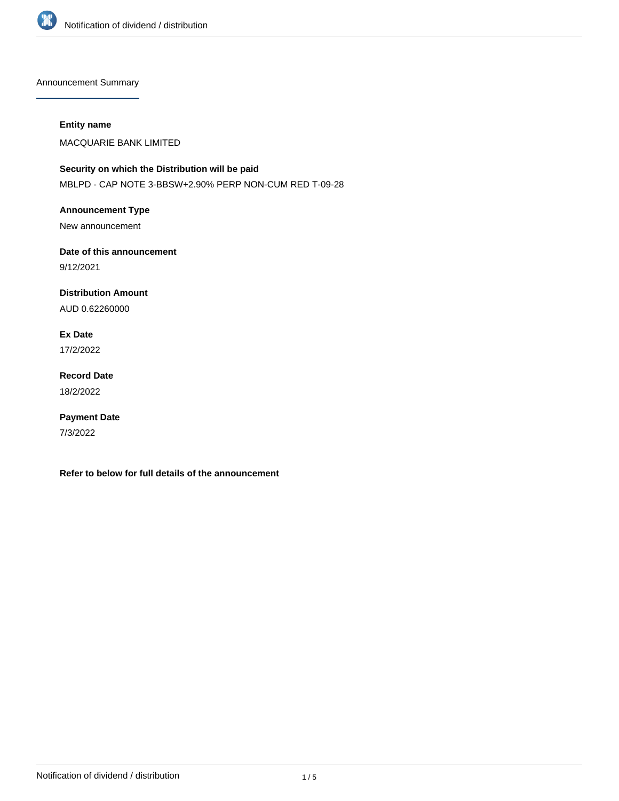

Announcement Summary

### **Entity name**

MACQUARIE BANK LIMITED

# **Security on which the Distribution will be paid** MBLPD - CAP NOTE 3-BBSW+2.90% PERP NON-CUM RED T-09-28

**Announcement Type** New announcement

**Date of this announcement** 9/12/2021

**Distribution Amount**

AUD 0.62260000

**Ex Date**

17/2/2022

**Record Date** 18/2/2022

**Payment Date** 7/3/2022

**Refer to below for full details of the announcement**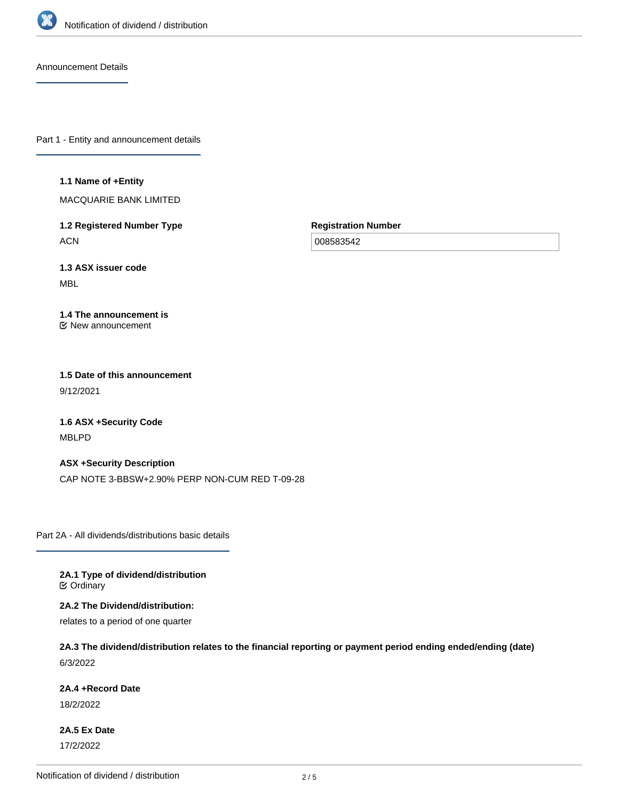

Announcement Details

Part 1 - Entity and announcement details

#### **1.1 Name of +Entity**

MACQUARIE BANK LIMITED

**1.2 Registered Number Type ACN** 

**Registration Number**

008583542

**1.3 ASX issuer code** MBL

#### **1.4 The announcement is** New announcement

**1.5 Date of this announcement** 9/12/2021

**1.6 ASX +Security Code** MBLPD

**ASX +Security Description** CAP NOTE 3-BBSW+2.90% PERP NON-CUM RED T-09-28

Part 2A - All dividends/distributions basic details

**2A.1 Type of dividend/distribution C** Ordinary

**2A.2 The Dividend/distribution:**

relates to a period of one quarter

**2A.3 The dividend/distribution relates to the financial reporting or payment period ending ended/ending (date)** 6/3/2022

**2A.4 +Record Date**

18/2/2022

**2A.5 Ex Date** 17/2/2022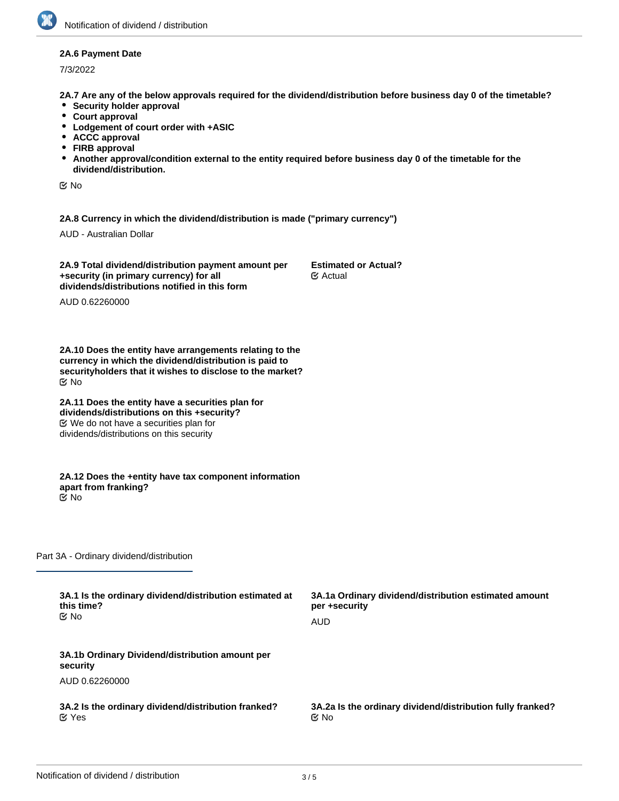### **2A.6 Payment Date**

7/3/2022

**2A.7 Are any of the below approvals required for the dividend/distribution before business day 0 of the timetable?**

- **•** Security holder approval
- **Court approval**
- **Lodgement of court order with +ASIC**
- **ACCC approval**
- **FIRB approval**
- **Another approval/condition external to the entity required before business day 0 of the timetable for the dividend/distribution.**

No

**2A.8 Currency in which the dividend/distribution is made ("primary currency")**

AUD - Australian Dollar

**2A.9 Total dividend/distribution payment amount per +security (in primary currency) for all dividends/distributions notified in this form**

**Estimated or Actual?** Actual

AUD 0.62260000

**2A.10 Does the entity have arrangements relating to the currency in which the dividend/distribution is paid to securityholders that it wishes to disclose to the market?** No

**2A.11 Does the entity have a securities plan for dividends/distributions on this +security?** We do not have a securities plan for dividends/distributions on this security

**2A.12 Does the +entity have tax component information apart from franking?** No

Part 3A - Ordinary dividend/distribution

| 3A.1 Is the ordinary dividend/distribution estimated at<br>this time?<br>tiX No | 3A.1a Ordinary dividend/distribution estimated amount<br>per +security |
|---------------------------------------------------------------------------------|------------------------------------------------------------------------|
|                                                                                 | AUD                                                                    |
| 3A.1b Ordinary Dividend/distribution amount per<br>security                     |                                                                        |
| AUD 0.62260000                                                                  |                                                                        |
| 3A.2 Is the ordinary dividend/distribution franked?<br>$\alpha$ Yes             | 3A.2a Is the ordinary dividend/distribution fully franked?<br>় No     |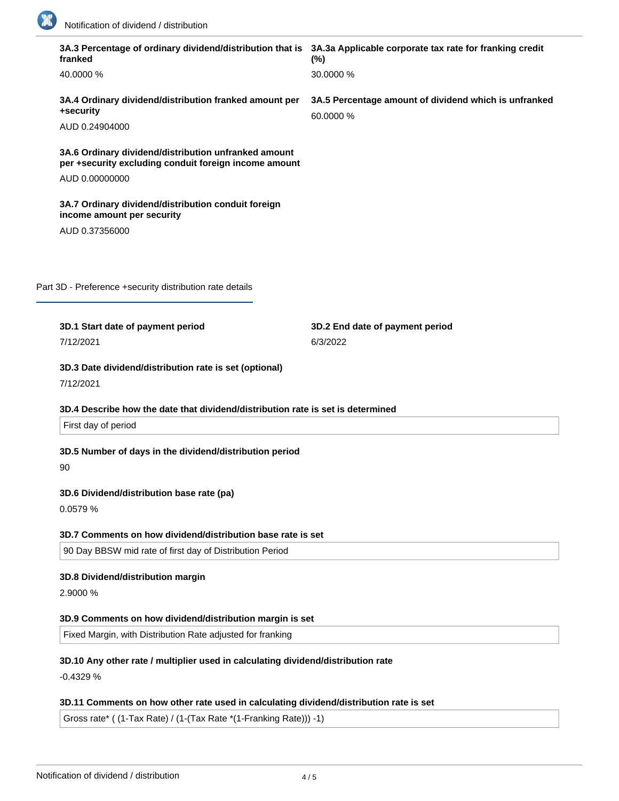

| 3A.3 Percentage of ordinary dividend/distribution that is 3A.3a Applicable corporate tax rate for franking credit<br>franked | (%)                                                                |
|------------------------------------------------------------------------------------------------------------------------------|--------------------------------------------------------------------|
| 40.0000 %                                                                                                                    | 30.0000 %                                                          |
| 3A.4 Ordinary dividend/distribution franked amount per<br>+security                                                          | 3A.5 Percentage amount of dividend which is unfranked<br>60.0000 % |
| AUD 0.24904000                                                                                                               |                                                                    |
| 3A.6 Ordinary dividend/distribution unfranked amount<br>per +security excluding conduit foreign income amount                |                                                                    |
| AUD 0.00000000                                                                                                               |                                                                    |
| 3A.7 Ordinary dividend/distribution conduit foreign<br>income amount per security                                            |                                                                    |
| AUD 0.37356000                                                                                                               |                                                                    |
|                                                                                                                              |                                                                    |
| Part 3D - Preference +security distribution rate details                                                                     |                                                                    |
| 3D.1 Start date of payment period                                                                                            | 3D.2 End date of payment period                                    |
| 7/12/2021                                                                                                                    | 6/3/2022                                                           |
| 3D.3 Date dividend/distribution rate is set (optional)<br>7/12/2021                                                          |                                                                    |
| 3D.4 Describe how the date that dividend/distribution rate is set is determined<br>First day of period                       |                                                                    |
| 3D.5 Number of days in the dividend/distribution period                                                                      |                                                                    |
| 90                                                                                                                           |                                                                    |
| 3D.6 Dividend/distribution base rate (pa)<br>0.0579 %                                                                        |                                                                    |
|                                                                                                                              |                                                                    |
| 3D.7 Comments on how dividend/distribution base rate is set                                                                  |                                                                    |
| 90 Day BBSW mid rate of first day of Distribution Period                                                                     |                                                                    |
| 3D.8 Dividend/distribution margin                                                                                            |                                                                    |
| 2.9000 %                                                                                                                     |                                                                    |
| 3D.9 Comments on how dividend/distribution margin is set                                                                     |                                                                    |
| Fixed Margin, with Distribution Rate adjusted for franking                                                                   |                                                                    |
| 3D.10 Any other rate / multiplier used in calculating dividend/distribution rate                                             |                                                                    |
| $-0.4329%$                                                                                                                   |                                                                    |
| 3D.11 Comments on how other rate used in calculating dividend/distribution rate is set                                       |                                                                    |